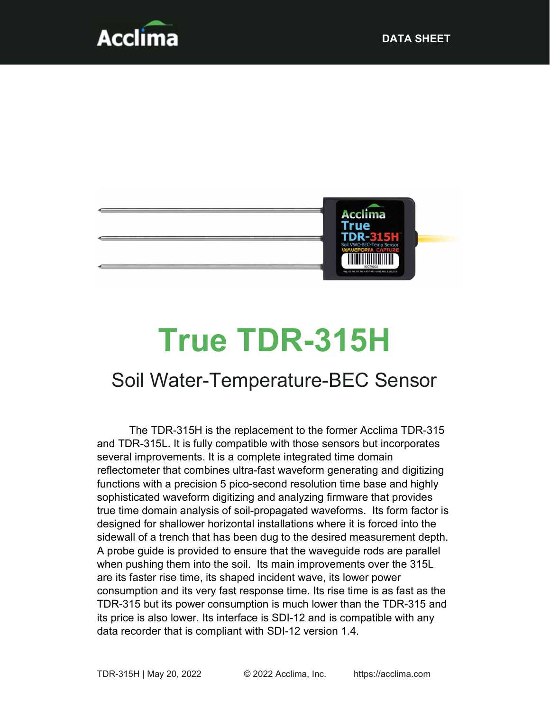



# True TDR-315H

## Soil Water-Temperature-BEC Sensor

The TDR-315H is the replacement to the former Acclima TDR-315 and TDR-315L. It is fully compatible with those sensors but incorporates several improvements. It is a complete integrated time domain reflectometer that combines ultra-fast waveform generating and digitizing functions with a precision 5 pico-second resolution time base and highly sophisticated waveform digitizing and analyzing firmware that provides true time domain analysis of soil-propagated waveforms. Its form factor is designed for shallower horizontal installations where it is forced into the sidewall of a trench that has been dug to the desired measurement depth. A probe guide is provided to ensure that the waveguide rods are parallel when pushing them into the soil. Its main improvements over the 315L are its faster rise time, its shaped incident wave, its lower power consumption and its very fast response time. Its rise time is as fast as the TDR-315 but its power consumption is much lower than the TDR-315 and its price is also lower. Its interface is SDI-12 and is compatible with any data recorder that is compliant with SDI-12 version 1.4.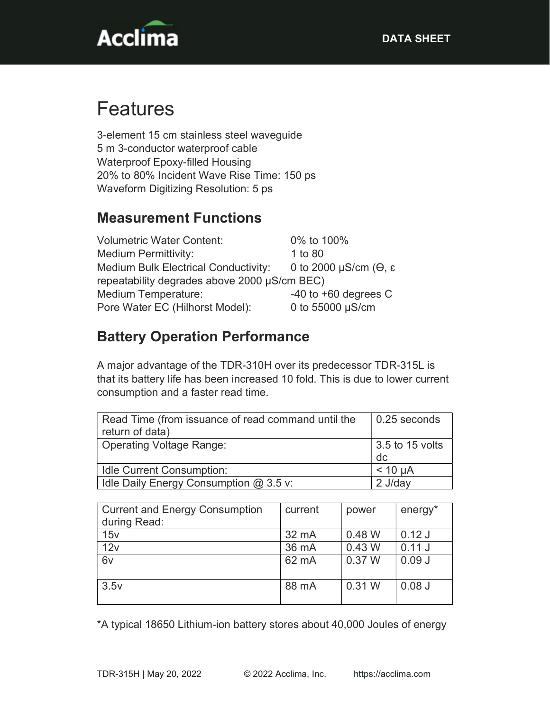

## Features

3-element 15 cm stainless steel waveguide 5 m 3-conductor waterproof cable Waterproof Epoxy-filled Housing 20% to 80% Incident Wave Rise Time: 150 ps Waveform Digitizing Resolution: 5 ps

#### Measurement Functions

| <b>Volumetric Water Content:</b>             | 0% to 100%               |  |
|----------------------------------------------|--------------------------|--|
| <b>Medium Permittivity:</b>                  | 1 to 80                  |  |
| <b>Medium Bulk Electrical Conductivity:</b>  | 0 to 2000 μS/cm (θ, ε    |  |
| repeatability degrades above 2000 µS/cm BEC) |                          |  |
| <b>Medium Temperature:</b>                   | $-40$ to $+60$ degrees C |  |
| Pore Water EC (Hilhorst Model):              | 0 to 55000 µS/cm         |  |

#### Battery Operation Performance

A major advantage of the TDR-310H over its predecessor TDR-315L is that its battery life has been increased 10 fold. This is due to lower current consumption and a faster read time.

| Read Time (from issuance of read command until the<br>return of data) | 0.25 seconds          |
|-----------------------------------------------------------------------|-----------------------|
| <b>Operating Voltage Range:</b>                                       | 3.5 to 15 volts<br>dc |
| <b>Idle Current Consumption:</b>                                      | $< 10 \mu A$          |
| Idle Daily Energy Consumption @ 3.5 v:                                | 2 J/dav               |

| <b>Current and Energy Consumption</b><br>during Read: | current | power    | energy*  |
|-------------------------------------------------------|---------|----------|----------|
| 15v                                                   | 32 mA   | 0.48 W   | $0.12$ J |
| 12v                                                   | 36 mA   | $0.43$ W | 0.11J    |
| 6 <sub>v</sub>                                        | 62 mA   | 0.37 W   | 0.09J    |
| 3.5v                                                  | 88 mA   | 0.31 W   | $0.08$ J |

\*A typical 18650 Lithium-ion battery stores about 40,000 Joules of energy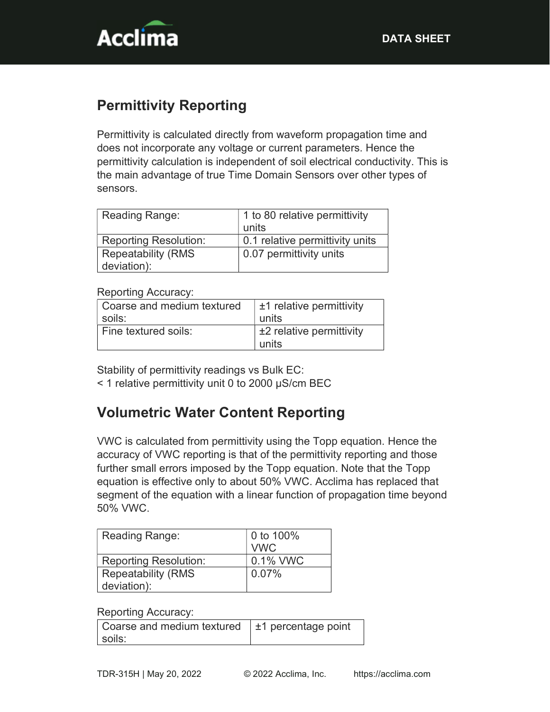

### Permittivity Reporting

Permittivity is calculated directly from waveform propagation time and does not incorporate any voltage or current parameters. Hence the permittivity calculation is independent of soil electrical conductivity. This is the main advantage of true Time Domain Sensors over other types of sensors.

| Reading Range:                            | 1 to 80 relative permittivity<br>units |
|-------------------------------------------|----------------------------------------|
| <b>Reporting Resolution:</b>              | 0.1 relative permittivity units        |
| <b>Repeatability (RMS)</b><br>deviation): | 0.07 permittivity units                |

Reporting Accuracy:

| Coarse and medium textured | $\pm$ 1 relative permittivity |
|----------------------------|-------------------------------|
| soils:                     | units                         |
| Fine textured soils:       | $\pm 2$ relative permittivity |
|                            | units                         |

Stability of permittivity readings vs Bulk EC:

< 1 relative permittivity unit 0 to 2000 µS/cm BEC

#### Volumetric Water Content Reporting

VWC is calculated from permittivity using the Topp equation. Hence the accuracy of VWC reporting is that of the permittivity reporting and those further small errors imposed by the Topp equation. Note that the Topp equation is effective only to about 50% VWC. Acclima has replaced that segment of the equation with a linear function of propagation time beyond 50% VWC.

| Reading Range:               | 0 to 100%<br><b>VWC</b> |
|------------------------------|-------------------------|
| <b>Reporting Resolution:</b> | 0.1% VWC                |
| <b>Repeatability (RMS</b>    | 0.07%                   |
| deviation):                  |                         |

#### Reporting Accuracy:

| Coarse and medium textured $\pm$ 1 percentage point |  |
|-----------------------------------------------------|--|
| soils:                                              |  |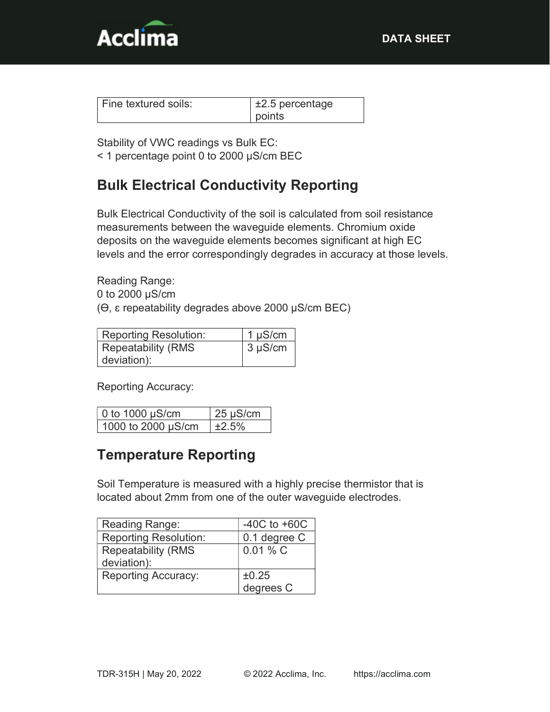

| Fine textured soils: | $\pm 2.5$ percentage |
|----------------------|----------------------|
|                      | points               |

Stability of VWC readings vs Bulk EC: < 1 percentage point 0 to 2000 µS/cm BEC

#### Bulk Electrical Conductivity Reporting

Bulk Electrical Conductivity of the soil is calculated from soil resistance measurements between the waveguide elements. Chromium oxide deposits on the waveguide elements becomes significant at high EC levels and the error correspondingly degrades in accuracy at those levels.

Reading Range: 0 to 2000 µS/cm  $(\Theta, \varepsilon)$  repeatability degrades above 2000  $\mu$ S/cm BEC)

| <b>Reporting Resolution:</b> | $1 \mu S/cm$ |
|------------------------------|--------------|
| <b>Repeatability (RMS</b>    | $3 \mu S/cm$ |
| deviation):                  |              |

Reporting Accuracy:

| $\vert$ 0 to 1000 $\mu$ S/cm | $25 \mu S/cm$ |
|------------------------------|---------------|
| 1000 to 2000 µS/cm           | ±2.5%         |

#### Temperature Reporting

Soil Temperature is measured with a highly precise thermistor that is located about 2mm from one of the outer waveguide electrodes.

| Reading Range:               | -40C to $+60C$ |
|------------------------------|----------------|
| <b>Reporting Resolution:</b> | 0.1 degree C   |
| <b>Repeatability (RMS</b>    | $0.01 \% C$    |
| deviation):                  |                |
| <b>Reporting Accuracy:</b>   | ±0.25          |
|                              | degrees C      |